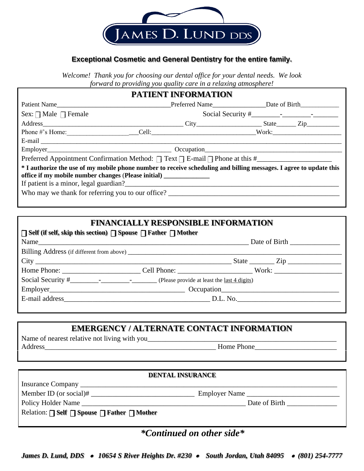

### **Exceptional Cosmetic and General Dentistry for the entire family.**

*Welcome! Thank you for choosing our dental office for your dental needs. We look forward to providing you quality care in a relaxing atmosphere!* 

## **PATIENT INFORMATION**

| Patient Name                                                                                                                                                                                                                                  |  | Preferred Name International Date of Birth International Date of Birth International Date of Birth |  |  |
|-----------------------------------------------------------------------------------------------------------------------------------------------------------------------------------------------------------------------------------------------|--|----------------------------------------------------------------------------------------------------|--|--|
| Sex: $\Box$ Male $\Box$ Female                                                                                                                                                                                                                |  |                                                                                                    |  |  |
|                                                                                                                                                                                                                                               |  |                                                                                                    |  |  |
|                                                                                                                                                                                                                                               |  |                                                                                                    |  |  |
|                                                                                                                                                                                                                                               |  |                                                                                                    |  |  |
|                                                                                                                                                                                                                                               |  |                                                                                                    |  |  |
|                                                                                                                                                                                                                                               |  |                                                                                                    |  |  |
| * I authorize the use of my mobile phone number to receive scheduling and billing messages. I agree to update this<br>office if my mobile number changes (Please initial) ______________<br>Who may we thank for referring you to our office? |  |                                                                                                    |  |  |

### **FINANCIALLY RESPONSIBLE INFORMATION**

| $\Box$ Self (if self, skip this section) $\Box$ Spouse $\Box$ Father $\Box$ Mother |  |  |  |  |  |
|------------------------------------------------------------------------------------|--|--|--|--|--|
|                                                                                    |  |  |  |  |  |
|                                                                                    |  |  |  |  |  |
|                                                                                    |  |  |  |  |  |
|                                                                                    |  |  |  |  |  |
|                                                                                    |  |  |  |  |  |
|                                                                                    |  |  |  |  |  |
|                                                                                    |  |  |  |  |  |
|                                                                                    |  |  |  |  |  |

### **EMERGENCY / ALTERNATE CONTACT INFORMATION**

Name of nearest relative not living with you\_\_\_\_\_\_\_\_\_\_\_\_\_\_\_\_\_\_\_\_\_\_\_\_\_\_\_\_\_\_\_\_\_\_\_\_\_\_\_\_\_\_\_\_\_\_\_\_\_\_\_\_\_ Address\_\_\_\_\_\_\_\_\_\_\_\_\_\_\_\_\_\_\_\_\_\_\_\_\_\_\_\_\_\_\_\_\_\_\_\_\_\_\_\_\_\_\_\_\_\_\_\_ Home Phone\_\_\_\_\_\_\_\_\_\_\_\_\_\_\_\_\_\_\_\_\_\_\_

# **DENTAL INSURANCE** Insurance Company \_\_\_\_\_\_\_\_\_\_\_\_\_\_\_\_\_\_\_\_\_\_\_\_\_\_\_\_\_\_\_\_\_\_\_\_\_\_\_\_\_\_\_\_\_\_\_\_\_\_\_\_\_\_\_\_\_\_\_\_\_\_\_\_\_\_\_\_\_\_\_\_ Member ID (or social)# \_\_\_\_\_\_\_\_\_\_\_\_\_\_\_\_\_\_\_\_\_\_\_\_\_\_\_\_\_ Employer Name \_\_\_\_\_\_\_\_\_\_\_\_\_\_\_\_\_\_\_\_\_\_\_\_\_\_ Policy Holder Name \_\_\_\_\_\_\_\_\_\_\_\_\_\_\_\_\_\_\_\_\_\_\_\_\_\_\_\_\_\_\_\_\_\_\_\_\_\_\_\_\_\_\_\_\_\_ Date of Birth \_\_\_\_\_\_\_\_\_\_\_\_\_\_  $\text{Relation: } \Box \text{ Self } \Box \text{ Spouse } \Box \text{ Father } \Box \text{Mother}$

*\*Continued on other side\**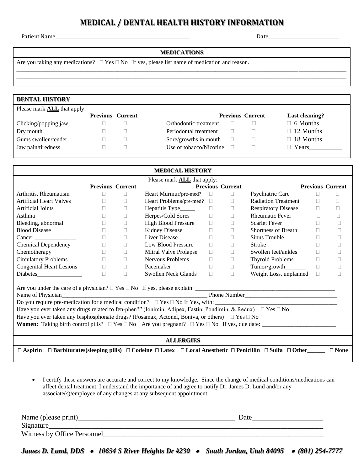## **MEDICAL / DENTAL HEALTH HISTORY INFORMATION**

Patient Name\_\_\_\_\_\_\_\_\_\_\_\_\_\_\_\_\_\_\_\_\_\_\_\_\_\_\_\_\_\_\_\_\_\_\_\_\_\_\_\_\_\_\_\_\_\_\_\_\_\_\_\_\_\_\_\_\_\_\_\_\_ Date\_\_\_\_\_\_\_\_\_\_\_\_\_\_\_\_\_\_\_\_\_\_\_\_\_\_\_\_\_\_\_\_

#### **MEDICATIONS**

\_\_\_\_\_\_\_\_\_\_\_\_\_\_\_\_\_\_\_\_\_\_\_\_\_\_\_\_\_\_\_\_\_\_\_\_\_\_\_\_\_\_\_\_\_\_\_\_\_\_\_\_\_\_\_\_\_\_\_\_\_\_\_\_\_\_\_\_\_\_\_\_\_\_\_\_\_\_\_\_\_\_\_\_\_\_\_\_\_\_\_\_\_\_\_\_\_\_\_\_\_\_\_\_\_\_\_\_\_\_\_ \_\_\_\_\_\_\_\_\_\_\_\_\_\_\_\_\_\_\_\_\_\_\_\_\_\_\_\_\_\_\_\_\_\_\_\_\_\_\_\_\_\_\_\_\_\_\_\_\_\_\_\_\_\_\_\_\_\_\_\_\_\_\_\_\_\_\_\_\_\_\_\_\_\_\_\_\_\_\_\_\_\_\_\_\_\_\_\_\_\_\_\_\_\_\_\_\_\_\_\_\_\_\_\_\_\_\_\_\_\_\_

Are you taking any medications?  $\Box$  Yes  $\Box$  No If yes, please list name of medication and reason.

| <b>DENTAL HISTORY</b>              |                         |                         |                         |                  |
|------------------------------------|-------------------------|-------------------------|-------------------------|------------------|
| Please mark <b>ALL</b> that apply: |                         |                         |                         |                  |
|                                    | <b>Previous Current</b> |                         | <b>Previous Current</b> | Last cleaning?   |
| Clicking/popping jaw               |                         | Orthodontic treatment   |                         | $\Box$ 6 Months  |
| Dry mouth                          |                         | Periodontal treatment   |                         | $\Box$ 12 Months |
| Gums swollen/tender                |                         | Sore/growths in mouth   |                         | $\Box$ 18 Months |
| Jaw pain/tiredness                 |                         | Use of tobacco/Nicotine |                         | $\Box$ Years     |
|                                    |                         |                         |                         |                  |

| <b>MEDICAL HISTORY</b>                                                                                                                                                                                                                                                                                                                                                                                                                                                          |                         |        |                                  |        |                         |                            |              |                         |
|---------------------------------------------------------------------------------------------------------------------------------------------------------------------------------------------------------------------------------------------------------------------------------------------------------------------------------------------------------------------------------------------------------------------------------------------------------------------------------|-------------------------|--------|----------------------------------|--------|-------------------------|----------------------------|--------------|-------------------------|
| Please mark <b>ALL</b> that apply:                                                                                                                                                                                                                                                                                                                                                                                                                                              |                         |        |                                  |        |                         |                            |              |                         |
|                                                                                                                                                                                                                                                                                                                                                                                                                                                                                 | <b>Previous Current</b> |        |                                  |        | <b>Previous Current</b> |                            |              | <b>Previous Current</b> |
| Arthritis, Rheumatism                                                                                                                                                                                                                                                                                                                                                                                                                                                           | $\Box$                  | $\Box$ | Heart Murmur/pre-med?            | $\Box$ | П.                      | Psychiatric Care           | $\mathbf{L}$ |                         |
| <b>Artificial Heart Valves</b>                                                                                                                                                                                                                                                                                                                                                                                                                                                  | $\Box$                  | П.     | Heart Problems/pre-med?          | $\Box$ | п                       | <b>Radiation Treatment</b> | п            | П                       |
| <b>Artificial Joints</b>                                                                                                                                                                                                                                                                                                                                                                                                                                                        | $\Box$                  | $\Box$ | Hepatitis Type <sub>______</sub> | $\Box$ | П                       | <b>Respiratory Disease</b> | П            |                         |
| Asthma                                                                                                                                                                                                                                                                                                                                                                                                                                                                          |                         | П      | Herpes/Cold Sores                | $\Box$ | П                       | <b>Rheumatic Fever</b>     |              | П                       |
| Bleeding, abnormal                                                                                                                                                                                                                                                                                                                                                                                                                                                              | $\Box$                  | $\Box$ | <b>High Blood Pressure</b>       | $\Box$ | П                       | <b>Scarlet Fever</b>       | П.           | П                       |
| <b>Blood Disease</b>                                                                                                                                                                                                                                                                                                                                                                                                                                                            | $\Box$                  | $\Box$ | <b>Kidney Disease</b>            | $\Box$ | П                       | Shortness of Breath        | П.           | $\mathbf{L}$            |
|                                                                                                                                                                                                                                                                                                                                                                                                                                                                                 | $\Box$                  | $\Box$ | <b>Liver Disease</b>             | $\Box$ | П                       | Sinus Trouble              | П.           | П                       |
| <b>Chemical Dependency</b>                                                                                                                                                                                                                                                                                                                                                                                                                                                      | $\Box$                  | $\Box$ | Low Blood Pressure               | $\Box$ | П                       | <b>Stroke</b>              |              |                         |
| Chemotherapy                                                                                                                                                                                                                                                                                                                                                                                                                                                                    | $\Box$                  | $\Box$ | Mitral Valve Prolapse            | $\Box$ | П.                      | Swollen feet/ankles        | П.           | П                       |
| <b>Circulatory Problems</b>                                                                                                                                                                                                                                                                                                                                                                                                                                                     | $\Box$                  | $\Box$ | Nervous Problems                 | $\Box$ | П.                      | <b>Thyroid Problems</b>    | $\Box$       | П                       |
| <b>Congenital Heart Lesions</b>                                                                                                                                                                                                                                                                                                                                                                                                                                                 | $\Box$                  | $\Box$ | Pacemaker                        | $\Box$ | П.                      | Tumor/growth               | $\Box$       | П                       |
|                                                                                                                                                                                                                                                                                                                                                                                                                                                                                 | $\Box$                  | $\Box$ | Swollen Neck Glands              | $\Box$ | П                       | Weight Loss, unplanned     | П            |                         |
| Name of Physician_<br>Do you require pre-medication for a medical condition? $\Box$ Yes $\Box$ No If Yes, with:<br>Have you ever taken any drugs related to fen-phen?" (Ionimin, Adipex, Fastin, Pondimin, & Redux) $\Box$ Yes $\Box$ No<br>Have you ever taken any bisphosphonate drugs? (Fosamax, Actonel, Boniva, or others) $\Box$ Yes $\Box$ No<br><b>Women:</b> Taking birth control pills? $\Box$ Yes $\Box$ No Are you pregnant? $\Box$ Yes $\Box$ No If yes, due date: |                         |        |                                  |        |                         |                            |              |                         |
| <b>ALLERGIES</b>                                                                                                                                                                                                                                                                                                                                                                                                                                                                |                         |        |                                  |        |                         |                            |              |                         |
| $\Box$ Aspirin $\Box$ Barbiturates(sleeping pills) $\Box$ Codeine $\Box$ Latex $\Box$ Local Anesthetic $\Box$ Penicillin $\Box$ Sulfa $\Box$ Other<br>$\square$ None                                                                                                                                                                                                                                                                                                            |                         |        |                                  |        |                         |                            |              |                         |

• I certify these answers are accurate and correct to my knowledge. Since the change of medical conditions/medications can affect dental treatment, I understand the importance of and agree to notify Dr. James D. Lund and/or any associate(s)/employee of any changes at any subsequent appointment.

| Name (please print)         | Date |
|-----------------------------|------|
| Signature                   |      |
| Witness by Office Personnel |      |

*James D. Lund, DDS* • *10654 S River Heights Dr #230* • *South Jordan, Utah 84095* • *(801) 254-7777*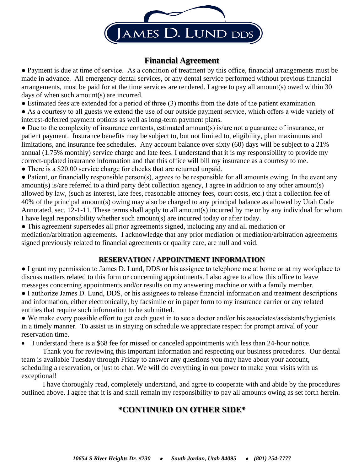

### **Financial Agreement**

● Payment is due at time of service. As a condition of treatment by this office, financial arrangements must be made in advance. All emergency dental services, or any dental service performed without previous financial arrangements, must be paid for at the time services are rendered. I agree to pay all amount(s) owed within 30 days of when such amount(s) are incurred.

• Estimated fees are extended for a period of three (3) months from the date of the patient examination.

● As a courtesy to all guests we extend the use of our outside payment service, which offers a wide variety of interest-deferred payment options as well as long-term payment plans.

● Due to the complexity of insurance contents, estimated amount(s) is/are not a guarantee of insurance, or patient payment. Insurance benefits may be subject to, but not limited to, eligibility, plan maximums and limitations, and insurance fee schedules. Any account balance over sixty (60) days will be subject to a 21% annual (1.75% monthly) service charge and late fees. I understand that it is my responsibility to provide my correct-updated insurance information and that this office will bill my insurance as a courtesy to me.

• There is a \$20.00 service charge for checks that are returned unpaid.

• Patient, or financially responsible person(s), agrees to be responsible for all amounts owing. In the event any amount(s) is/are referred to a third party debt collection agency, I agree in addition to any other amount(s) allowed by law, (such as interest, late fees, reasonable attorney fees, court costs, etc.) that a collection fee of 40% of the principal amount(s) owing may also be charged to any principal balance as allowed by Utah Code Annotated, sec. 12-1-11. These terms shall apply to all amount(s) incurred by me or by any individual for whom I have legal responsibility whether such amount(s) are incurred today or after today.

● This agreement supersedes all prior agreements signed, including any and all mediation or mediation/arbitration agreements. I acknowledge that any prior mediation or mediation/arbitration agreements signed previously related to financial agreements or quality care, are null and void.

### **RESERVATION / APPOINTMENT INFORMATION**

● I grant my permission to James D. Lund, DDS or his assignee to telephone me at home or at my workplace to discuss matters related to this form or concerning appointments. I also agree to allow this office to leave messages concerning appointments and/or results on my answering machine or with a family member.

● I authorize James D. Lund, DDS, or his assignees to release financial information and treatment descriptions and information, either electronically, by facsimile or in paper form to my insurance carrier or any related entities that require such information to be submitted.

● We make every possible effort to get each guest in to see a doctor and/or his associates/assistants/hygienists in a timely manner. To assist us in staying on schedule we appreciate respect for prompt arrival of your reservation time.

• I understand there is a \$68 fee for missed or canceled appointments with less than 24-hour notice.

Thank you for reviewing this important information and respecting our business procedures. Our dental team is available Tuesday through Friday to answer any questions you may have about your account, scheduling a reservation, or just to chat. We will do everything in our power to make your visits with us exceptional!

I have thoroughly read, completely understand, and agree to cooperate with and abide by the procedures outlined above. I agree that it is and shall remain my responsibility to pay all amounts owing as set forth herein.

## **\*CONTINUED ON OTHER SIDE\***